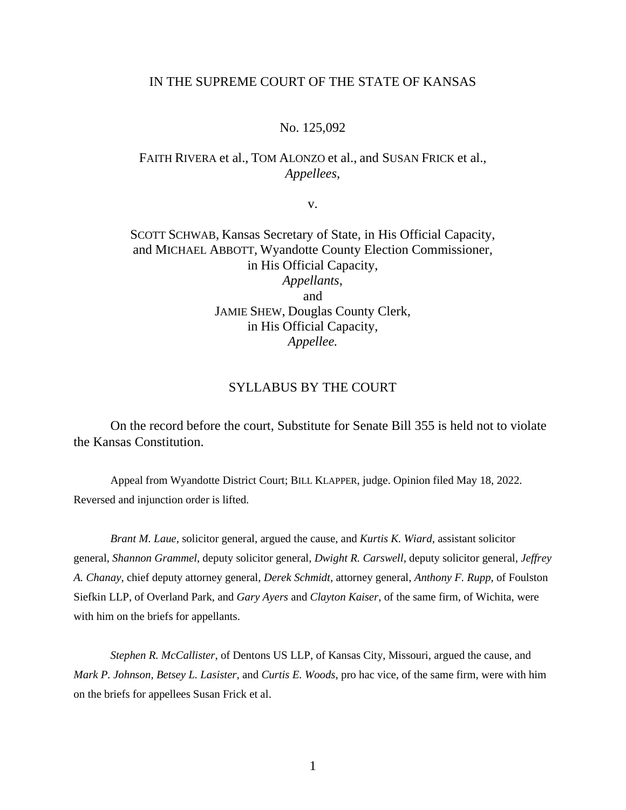### IN THE SUPREME COURT OF THE STATE OF KANSAS

#### No. 125,092

# FAITH RIVERA et al., TOM ALONZO et al., and SUSAN FRICK et al., *Appellees*,

v.

# SCOTT SCHWAB, Kansas Secretary of State, in His Official Capacity, and MICHAEL ABBOTT, Wyandotte County Election Commissioner, in His Official Capacity, *Appellants*, and JAMIE SHEW, Douglas County Clerk, in His Official Capacity, *Appellee.*

### SYLLABUS BY THE COURT

On the record before the court, Substitute for Senate Bill 355 is held not to violate the Kansas Constitution.

Appeal from Wyandotte District Court; BILL KLAPPER, judge. Opinion filed May 18, 2022. Reversed and injunction order is lifted.

*Brant M. Laue*, solicitor general, argued the cause, and *Kurtis K. Wiard*, assistant solicitor general, *Shannon Grammel*, deputy solicitor general, *Dwight R. Carswell*, deputy solicitor general, *Jeffrey A. Chanay*, chief deputy attorney general, *Derek Schmidt*, attorney general, *Anthony F. Rupp*, of Foulston Siefkin LLP, of Overland Park, and *Gary Ayers* and *Clayton Kaiser*, of the same firm, of Wichita, were with him on the briefs for appellants.

*Stephen R. McCallister*, of Dentons US LLP, of Kansas City, Missouri, argued the cause, and *Mark P. Johnson, Betsey L. Lasister,* and *Curtis E. Woods*, pro hac vice, of the same firm, were with him on the briefs for appellees Susan Frick et al.

1